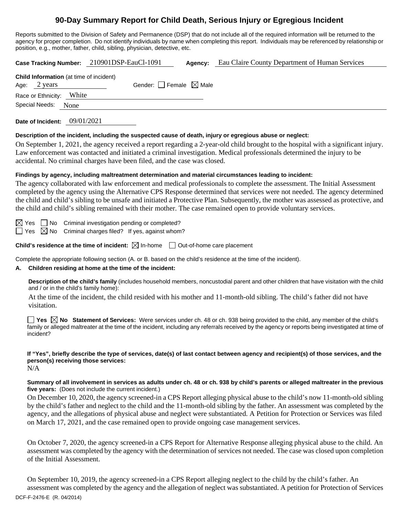# **90-Day Summary Report for Child Death, Serious Injury or Egregious Incident**

Reports submitted to the Division of Safety and Permanence (DSP) that do not include all of the required information will be returned to the agency for proper completion. Do not identify individuals by name when completing this report. Individuals may be referenced by relationship or position, e.g., mother, father, child, sibling, physician, detective, etc.

**Case Tracking Number:** 210901DSP-EauCl-1091 **Agency:** Eau Claire County Department of Human Services **Child Information** (at time of incident) Age:  $2 \text{ years}$  Gender: Female  $\boxtimes$  Male Race or Ethnicity: White Special Needs: None

**Date of Incident:** 09/01/2021

### **Description of the incident, including the suspected cause of death, injury or egregious abuse or neglect:**

On September 1, 2021, the agency received a report regarding a 2-year-old child brought to the hospital with a significant injury. Law enforcement was contacted and initiated a criminal investigation. Medical professionals determined the injury to be accidental. No criminal charges have been filed, and the case was closed.

### **Findings by agency, including maltreatment determination and material circumstances leading to incident:**

The agency collaborated with law enforcement and medical professionals to complete the assessment. The Initial Assessment completed by the agency using the Alternative CPS Response determined that services were not needed. The agency determined the child and child's sibling to be unsafe and initiated a Protective Plan. Subsequently, the mother was assessed as protective, and the child and child's sibling remained with their mother. The case remained open to provide voluntary services.

 $\boxtimes$  Yes  $\Box$  No Criminal investigation pending or completed?

 $\Box$  Yes  $\boxtimes$  No Criminal charges filed? If yes, against whom?

**Child's residence at the time of incident:**  $\boxtimes$  In-home  $\Box$  Out-of-home care placement

Complete the appropriate following section (A. or B. based on the child's residence at the time of the incident).

### **A. Children residing at home at the time of the incident:**

**Description of the child's family** (includes household members, noncustodial parent and other children that have visitation with the child and / or in the child's family home):

At the time of the incident, the child resided with his mother and 11-month-old sibling. The child's father did not have visitation.

**Yes No Statement of Services:** Were services under ch. 48 or ch. 938 being provided to the child, any member of the child's family or alleged maltreater at the time of the incident, including any referrals received by the agency or reports being investigated at time of incident?

## **If "Yes", briefly describe the type of services, date(s) of last contact between agency and recipient(s) of those services, and the person(s) receiving those services:**

N/A

### **Summary of all involvement in services as adults under ch. 48 or ch. 938 by child's parents or alleged maltreater in the previous five years:** (Does not include the current incident.)

On December 10, 2020, the agency screened-in a CPS Report alleging physical abuse to the child's now 11-month-old sibling by the child's father and neglect to the child and the 11-month-old sibling by the father. An assessment was completed by the agency, and the allegations of physical abuse and neglect were substantiated. A Petition for Protection or Services was filed on March 17, 2021, and the case remained open to provide ongoing case management services.

On October 7, 2020, the agency screened-in a CPS Report for Alternative Response alleging physical abuse to the child. An assessment was completed by the agency with the determination of services not needed. The case was closed upon completion of the Initial Assessment.

DCF-F-2476-E (R. 04/2014) On September 10, 2019, the agency screened-in a CPS Report alleging neglect to the child by the child's father. An assessment was completed by the agency and the allegation of neglect was substantiated. A petition for Protection of Services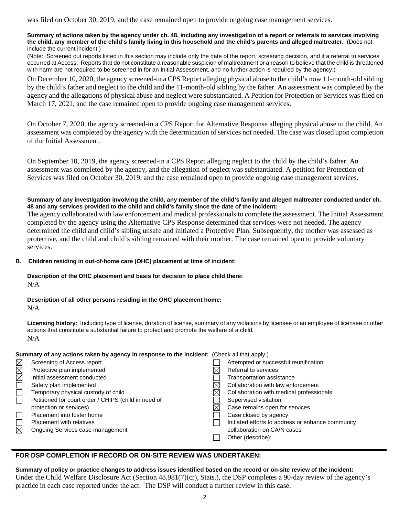was filed on October 30, 2019, and the case remained open to provide ongoing case management services.

#### **Summary of actions taken by the agency under ch. 48, including any investigation of a report or referrals to services involving the child, any member of the child's family living in this household and the child's parents and alleged maltreater.** (Does not include the current incident.)

(Note: Screened out reports listed in this section may include only the date of the report, screening decision, and if a referral to services occurred at Access. Reports that do not constitute a reasonable suspicion of maltreatment or a reason to believe that the child is threatened with harm are not required to be screened in for an Initial Assessment, and no further action is required by the agency.)

On December 10, 2020, the agency screened-in a CPS Report alleging physical abuse to the child's now 11-month-old sibling by the child's father and neglect to the child and the 11-month-old sibling by the father. An assessment was completed by the agency and the allegations of physical abuse and neglect were substantiated. A Petition for Protection or Services was filed on March 17, 2021, and the case remained open to provide ongoing case management services.

On October 7, 2020, the agency screened-in a CPS Report for Alternative Response alleging physical abuse to the child. An assessment was completed by the agency with the determination of services not needed. The case was closed upon completion of the Initial Assessment.

On September 10, 2019, the agency screened-in a CPS Report alleging neglect to the child by the child's father. An assessment was completed by the agency, and the allegation of neglect was substantiated. A petition for Protection of Services was filed on October 30, 2019, and the case remained open to provide ongoing case management services.

### **Summary of any investigation involving the child, any member of the child's family and alleged maltreater conducted under ch. 48 and any services provided to the child and child's family since the date of the incident:**

The agency collaborated with law enforcement and medical professionals to complete the assessment. The Initial Assessment completed by the agency using the Alternative CPS Response determined that services were not needed. The agency determined the child and child's sibling unsafe and initiated a Protective Plan. Subsequently, the mother was assessed as protective, and the child and child's sibling remained with their mother. The case remained open to provide voluntary services.

### **B. Children residing in out-of-home care (OHC) placement at time of incident:**

#### **Description of the OHC placement and basis for decision to place child there:** N/A

**Description of all other persons residing in the OHC placement home:**

N/A

**Licensing history:** Including type of license, duration of license, summary of any violations by licensee or an employee of licensee or other actions that constitute a substantial failure to protect and promote the welfare of a child. N/A

### **Summary of any actions taken by agency in response to the incident:** (Check all that apply.)

| Attempted or successful reunification<br>MMM<br>Screening of Access report<br>Protective plan implemented<br>Referral to services<br>Initial assessment conducted<br>Transportation assistance<br>Collaboration with law enforcement<br>Safety plan implemented<br>Temporary physical custody of child<br>Collaboration with medical professionals<br>Petitioned for court order / CHIPS (child in need of<br>Supervised visitation<br>protection or services)<br>Case remains open for services<br>Placement into foster home<br>Case closed by agency<br><b>Placement with relatives</b><br>$\boxtimes$<br>collaboration on CA/N cases<br>Ongoing Services case management<br>Other (describe): |  |  |  |                                                   |  |
|---------------------------------------------------------------------------------------------------------------------------------------------------------------------------------------------------------------------------------------------------------------------------------------------------------------------------------------------------------------------------------------------------------------------------------------------------------------------------------------------------------------------------------------------------------------------------------------------------------------------------------------------------------------------------------------------------|--|--|--|---------------------------------------------------|--|
|                                                                                                                                                                                                                                                                                                                                                                                                                                                                                                                                                                                                                                                                                                   |  |  |  |                                                   |  |
|                                                                                                                                                                                                                                                                                                                                                                                                                                                                                                                                                                                                                                                                                                   |  |  |  |                                                   |  |
|                                                                                                                                                                                                                                                                                                                                                                                                                                                                                                                                                                                                                                                                                                   |  |  |  |                                                   |  |
|                                                                                                                                                                                                                                                                                                                                                                                                                                                                                                                                                                                                                                                                                                   |  |  |  |                                                   |  |
|                                                                                                                                                                                                                                                                                                                                                                                                                                                                                                                                                                                                                                                                                                   |  |  |  |                                                   |  |
|                                                                                                                                                                                                                                                                                                                                                                                                                                                                                                                                                                                                                                                                                                   |  |  |  |                                                   |  |
|                                                                                                                                                                                                                                                                                                                                                                                                                                                                                                                                                                                                                                                                                                   |  |  |  |                                                   |  |
|                                                                                                                                                                                                                                                                                                                                                                                                                                                                                                                                                                                                                                                                                                   |  |  |  |                                                   |  |
|                                                                                                                                                                                                                                                                                                                                                                                                                                                                                                                                                                                                                                                                                                   |  |  |  | Initiated efforts to address or enhance community |  |
|                                                                                                                                                                                                                                                                                                                                                                                                                                                                                                                                                                                                                                                                                                   |  |  |  |                                                   |  |
|                                                                                                                                                                                                                                                                                                                                                                                                                                                                                                                                                                                                                                                                                                   |  |  |  |                                                   |  |

## **FOR DSP COMPLETION IF RECORD OR ON-SITE REVIEW WAS UNDERTAKEN:**

**Summary of policy or practice changes to address issues identified based on the record or on-site review of the incident:** Under the Child Welfare Disclosure Act (Section 48.981(7)(cr), Stats.), the DSP completes a 90-day review of the agency's practice in each case reported under the act. The DSP will conduct a further review in this case.